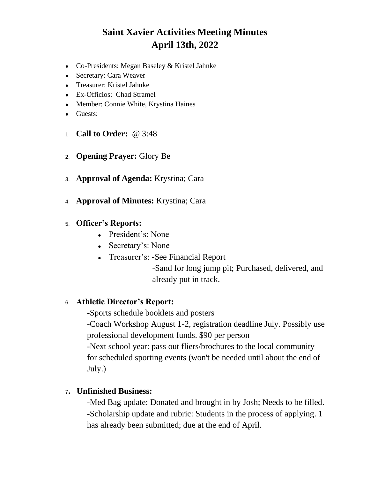# **Saint Xavier Activities Meeting Minutes April 13th, 2022**

- Co-Presidents: Megan Baseley & Kristel Jahnke
- Secretary: Cara Weaver
- Treasurer: Kristel Jahnke
- Ex-Officios: Chad Stramel
- Member: Connie White, Krystina Haines
- Guests:
- 1. **Call to Order:** @ 3:48
- 2. **Opening Prayer:** Glory Be
- 3. **Approval of Agenda:** Krystina; Cara
- 4. **Approval of Minutes:** Krystina; Cara
- 5. **Officer's Reports:**
	- President's: None
	- Secretary's: None
	- Treasurer's: -See Financial Report

-Sand for long jump pit; Purchased, delivered, and already put in track.

#### 6. **Athletic Director's Report:**

-Sports schedule booklets and posters -Coach Workshop August 1-2, registration deadline July. Possibly use professional development funds. \$90 per person -Next school year: pass out fliers/brochures to the local community for scheduled sporting events (won't be needed until about the end of July.)

#### <sup>7</sup>**. Unfinished Business:**

-Med Bag update: Donated and brought in by Josh; Needs to be filled. -Scholarship update and rubric: Students in the process of applying. 1 has already been submitted; due at the end of April.